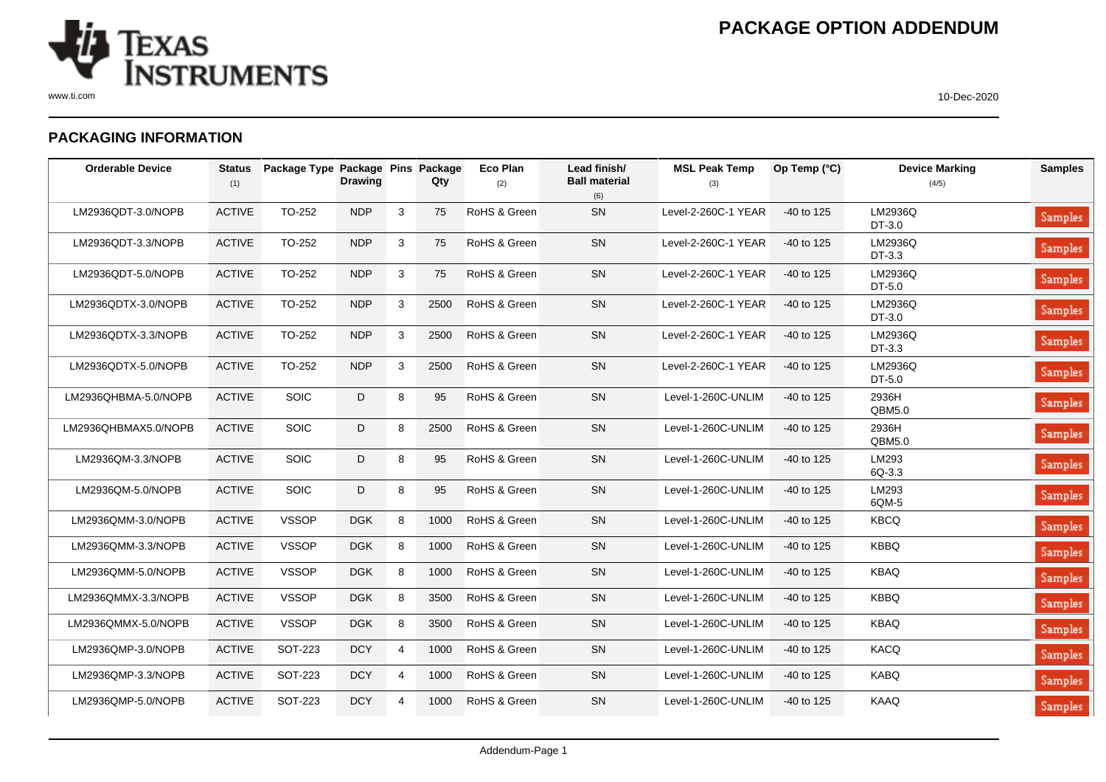

## **PACKAGING INFORMATION**

| <b>Orderable Device</b> | <b>Status</b><br>(1) | Package Type Package Pins Package | <b>Drawing</b> |                | Qty  | Eco Plan<br>(2) | Lead finish/<br><b>Ball material</b><br>(6) | <b>MSL Peak Temp</b><br>(3) | Op Temp (°C) | <b>Device Marking</b><br>(4/5) | <b>Samples</b> |
|-------------------------|----------------------|-----------------------------------|----------------|----------------|------|-----------------|---------------------------------------------|-----------------------------|--------------|--------------------------------|----------------|
| LM2936QDT-3.0/NOPB      | <b>ACTIVE</b>        | TO-252                            | <b>NDP</b>     | 3              | 75   | RoHS & Green    | SN                                          | Level-2-260C-1 YEAR         | -40 to 125   | LM2936Q<br>DT-3.0              | Samples        |
| LM2936QDT-3.3/NOPB      | <b>ACTIVE</b>        | TO-252                            | <b>NDP</b>     | 3              | 75   | RoHS & Green    | SN                                          | Level-2-260C-1 YEAR         | $-40$ to 125 | LM2936Q<br>DT-3.3              | Samples        |
| LM2936QDT-5.0/NOPB      | <b>ACTIVE</b>        | TO-252                            | <b>NDP</b>     | 3              | 75   | RoHS & Green    | SN                                          | Level-2-260C-1 YEAR         | -40 to 125   | LM2936Q<br>DT-5.0              | Samples        |
| LM2936QDTX-3.0/NOPB     | <b>ACTIVE</b>        | TO-252                            | <b>NDP</b>     | 3              | 2500 | RoHS & Green    | SN                                          | Level-2-260C-1 YEAR         | -40 to 125   | LM2936Q<br>DT-3.0              | Samples        |
| LM2936QDTX-3.3/NOPB     | <b>ACTIVE</b>        | TO-252                            | <b>NDP</b>     | 3              | 2500 | RoHS & Green    | SN                                          | Level-2-260C-1 YEAR         | -40 to 125   | LM2936Q<br>DT-3.3              | Samples        |
| LM2936QDTX-5.0/NOPB     | <b>ACTIVE</b>        | TO-252                            | <b>NDP</b>     | 3              | 2500 | RoHS & Green    | SN                                          | Level-2-260C-1 YEAR         | -40 to 125   | LM2936Q<br>DT-5.0              | Samples        |
| LM2936QHBMA-5.0/NOPB    | <b>ACTIVE</b>        | <b>SOIC</b>                       | D              | 8              | 95   | RoHS & Green    | SN                                          | Level-1-260C-UNLIM          | -40 to 125   | 2936H<br>QBM5.0                | Samples        |
| LM2936QHBMAX5.0/NOPB    | <b>ACTIVE</b>        | SOIC                              | D              | 8              | 2500 | RoHS & Green    | SN                                          | Level-1-260C-UNLIM          | -40 to 125   | 2936H<br>QBM5.0                | Samples        |
| LM2936QM-3.3/NOPB       | <b>ACTIVE</b>        | <b>SOIC</b>                       | D              | 8              | 95   | RoHS & Green    | SN                                          | Level-1-260C-UNLIM          | $-40$ to 125 | LM293<br>$6Q-3.3$              | Samples        |
| LM2936QM-5.0/NOPB       | <b>ACTIVE</b>        | SOIC                              | D              | 8              | 95   | RoHS & Green    | SN                                          | Level-1-260C-UNLIM          | $-40$ to 125 | LM293<br>6QM-5                 | Samples        |
| LM2936QMM-3.0/NOPB      | <b>ACTIVE</b>        | <b>VSSOP</b>                      | <b>DGK</b>     | 8              | 1000 | RoHS & Green    | SN                                          | Level-1-260C-UNLIM          | $-40$ to 125 | <b>KBCQ</b>                    | <b>Samples</b> |
| LM2936QMM-3.3/NOPB      | <b>ACTIVE</b>        | <b>VSSOP</b>                      | <b>DGK</b>     | 8              | 1000 | RoHS & Green    | SN                                          | Level-1-260C-UNLIM          | -40 to 125   | <b>KBBQ</b>                    | <b>Samples</b> |
| LM2936QMM-5.0/NOPB      | <b>ACTIVE</b>        | <b>VSSOP</b>                      | <b>DGK</b>     | 8              | 1000 | RoHS & Green    | SN                                          | Level-1-260C-UNLIM          | $-40$ to 125 | <b>KBAQ</b>                    | <b>Samples</b> |
| LM2936QMMX-3.3/NOPB     | <b>ACTIVE</b>        | <b>VSSOP</b>                      | <b>DGK</b>     | 8              | 3500 | RoHS & Green    | SN                                          | Level-1-260C-UNLIM          | $-40$ to 125 | <b>KBBQ</b>                    | <b>Samples</b> |
| LM2936QMMX-5.0/NOPB     | <b>ACTIVE</b>        | <b>VSSOP</b>                      | <b>DGK</b>     | 8              | 3500 | RoHS & Green    | SN                                          | Level-1-260C-UNLIM          | $-40$ to 125 | <b>KBAQ</b>                    | <b>Samples</b> |
| LM2936QMP-3.0/NOPB      | <b>ACTIVE</b>        | SOT-223                           | <b>DCY</b>     | $\overline{4}$ | 1000 | RoHS & Green    | SN                                          | Level-1-260C-UNLIM          | $-40$ to 125 | <b>KACQ</b>                    | Samples        |
| LM2936QMP-3.3/NOPB      | <b>ACTIVE</b>        | SOT-223                           | <b>DCY</b>     | 4              | 1000 | RoHS & Green    | SN                                          | Level-1-260C-UNLIM          | $-40$ to 125 | <b>KABQ</b>                    | Samples        |
| LM2936QMP-5.0/NOPB      | <b>ACTIVE</b>        | SOT-223                           | <b>DCY</b>     | $\overline{4}$ | 1000 | RoHS & Green    | SN                                          | Level-1-260C-UNLIM          | $-40$ to 125 | <b>KAAQ</b>                    | Samples        |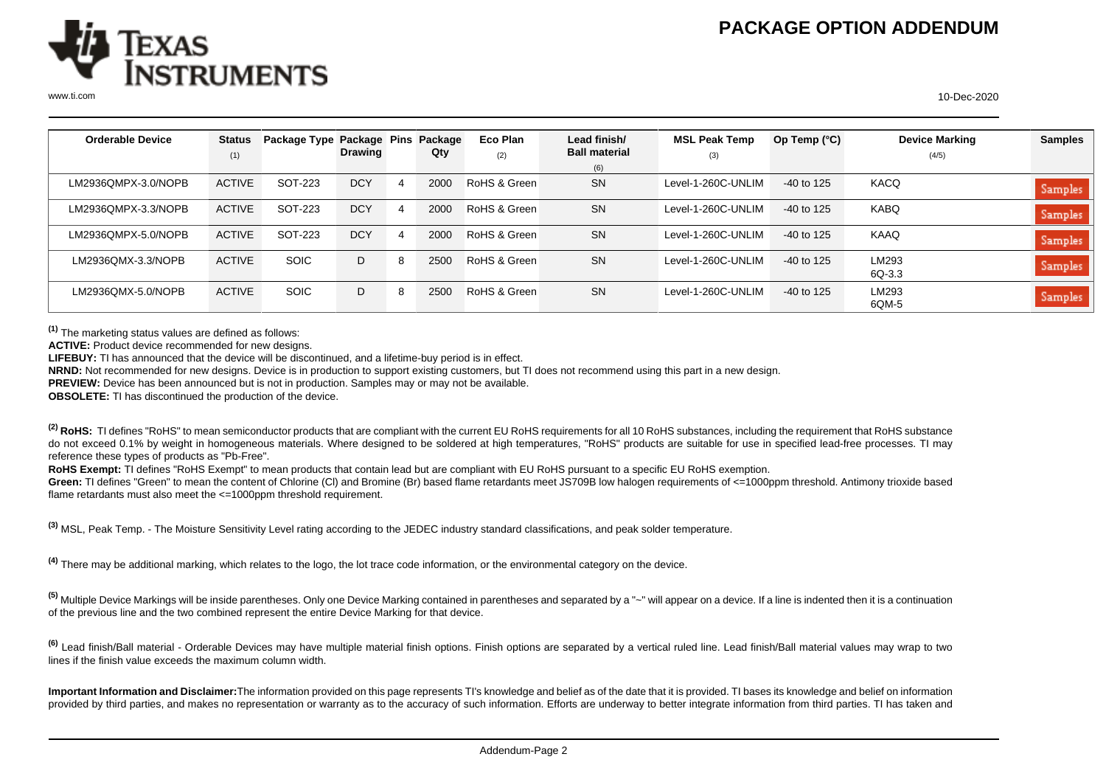

| <b>Orderable Device</b> | <b>Status</b> | Package Type Package Pins |                |   | Package | Eco Plan     | Lead finish/         | <b>MSL Peak Temp</b> | Op Temp (°C) | <b>Device Marking</b> | <b>Samples</b> |
|-------------------------|---------------|---------------------------|----------------|---|---------|--------------|----------------------|----------------------|--------------|-----------------------|----------------|
|                         | (1)           |                           | <b>Drawing</b> |   | Qty     | (2)          | <b>Ball material</b> | (3)                  |              | (4/5)                 |                |
|                         |               |                           |                |   |         |              | (6)                  |                      |              |                       |                |
| LM2936OMPX-3.0/NOPB     | <b>ACTIVE</b> | SOT-223                   | <b>DCY</b>     | 4 | 2000    | RoHS & Green | <b>SN</b>            | Level-1-260C-UNLIM   | $-40$ to 125 | KACQ                  | Samples        |
| LM2936OMPX-3.3/NOPB     | <b>ACTIVE</b> | SOT-223                   | <b>DCY</b>     |   | 2000    | RoHS & Green | <b>SN</b>            | Level-1-260C-UNLIM   | $-40$ to 125 | KABQ                  | Samples        |
| LM2936QMPX-5.0/NOPB     | <b>ACTIVE</b> | SOT-223                   | <b>DCY</b>     | 4 | 2000    | RoHS & Green | <b>SN</b>            | Level-1-260C-UNLIM   | $-40$ to 125 | KAAQ                  | Samples        |
| LM2936QMX-3.3/NOPB      | <b>ACTIVE</b> | <b>SOIC</b>               | D              |   | 2500    | RoHS & Green | <b>SN</b>            | Level-1-260C-UNLIM   | $-40$ to 125 | LM293<br>6Q-3.3       | <b>Samples</b> |
| LM2936QMX-5.0/NOPB      | <b>ACTIVE</b> | <b>SOIC</b>               | D              |   | 2500    | RoHS & Green | <b>SN</b>            | Level-1-260C-UNLIM   | $-40$ to 125 | LM293<br>6QM-5        | Samples        |

**(1)** The marketing status values are defined as follows:

**ACTIVE:** Product device recommended for new designs.

**LIFEBUY:** TI has announced that the device will be discontinued, and a lifetime-buy period is in effect.

**NRND:** Not recommended for new designs. Device is in production to support existing customers, but TI does not recommend using this part in a new design.

**PREVIEW:** Device has been announced but is not in production. Samples may or may not be available.

**OBSOLETE:** TI has discontinued the production of the device.

<sup>(2)</sup> RoHS: TI defines "RoHS" to mean semiconductor products that are compliant with the current EU RoHS requirements for all 10 RoHS substances, including the requirement that RoHS substance do not exceed 0.1% by weight in homogeneous materials. Where designed to be soldered at high temperatures, "RoHS" products are suitable for use in specified lead-free processes. TI may reference these types of products as "Pb-Free".

**RoHS Exempt:** TI defines "RoHS Exempt" to mean products that contain lead but are compliant with EU RoHS pursuant to a specific EU RoHS exemption.

Green: TI defines "Green" to mean the content of Chlorine (CI) and Bromine (Br) based flame retardants meet JS709B low halogen requirements of <=1000ppm threshold. Antimony trioxide based flame retardants must also meet the <=1000ppm threshold requirement.

**(3)** MSL, Peak Temp. - The Moisture Sensitivity Level rating according to the JEDEC industry standard classifications, and peak solder temperature.

**(4)** There may be additional marking, which relates to the logo, the lot trace code information, or the environmental category on the device.

**(5)** Multiple Device Markings will be inside parentheses. Only one Device Marking contained in parentheses and separated by a "~" will appear on a device. If a line is indented then it is a continuation of the previous line and the two combined represent the entire Device Marking for that device.

**(6)** Lead finish/Ball material - Orderable Devices may have multiple material finish options. Finish options are separated by a vertical ruled line. Lead finish/Ball material values may wrap to two lines if the finish value exceeds the maximum column width.

**Important Information and Disclaimer:**The information provided on this page represents TI's knowledge and belief as of the date that it is provided. TI bases its knowledge and belief on information provided by third parties, and makes no representation or warranty as to the accuracy of such information. Efforts are underway to better integrate information from third parties. TI has taken and